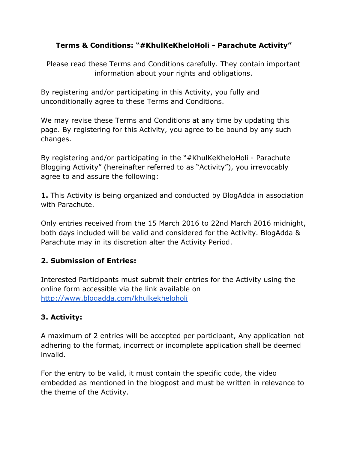#### **Terms & Conditions: "#KhulKeKheloHoli Parachute Activity"**

Please read these Terms and Conditions carefully. They contain important information about your rights and obligations.

By registering and/or participating in this Activity, you fully and unconditionally agree to these Terms and Conditions.

We may revise these Terms and Conditions at any time by updating this page. By registering for this Activity, you agree to be bound by any such changes.

By registering and/or participating in the "#KhulKeKheloHoli - Parachute Blogging Activity" (hereinafter referred to as "Activity"), you irrevocably agree to and assure the following:

**1.**This Activity is being organized and conducted by BlogAdda in association with Parachute.

Only entries received from the 15 March 2016 to 22nd March 2016 midnight, both days included will be valid and considered for the Activity. BlogAdda & Parachute may in its discretion alter the Activity Period.

#### **2. Submission of Entries:**

Interested Participants must submit their entries for the Activity using the online form accessible via the link available on <http://www.blogadda.com/khulkekheloholi>

# **3. Activity:**

A maximum of 2 entries will be accepted per participant, Any application not adhering to the format, incorrect or incomplete application shall be deemed invalid.

For the entry to be valid, it must contain the specific code, the video embedded as mentioned in the blogpost and must be written in relevance to the theme of the Activity.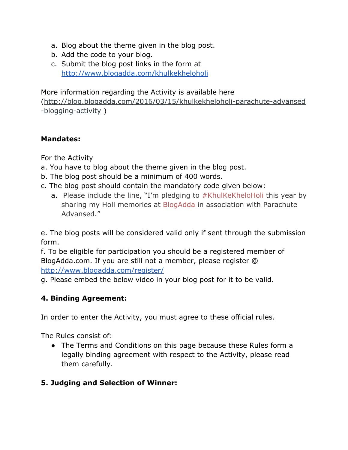- a. Blog about the theme given in the blog post.
- b. Add the code to your blog.
- c. Submit the blog post links in the form at <http://www.blogadda.com/khulkekheloholi>

More information regarding the Activity is available here

(http://blog.blogadda.com/2016/03/15/khulkekheloholi-parachute-advansed  $-b$ logging-activity  $)$ 

#### **Mandates:**

For the Activity

- a. You have to blog about the theme given in the blog post.
- b. The blog post should be a minimum of 400 words.
- c. The blog post should contain the mandatory code given below:
	- a. Please include the line, "I'm pledging to [#KhulKeKheloHoli](http://blog.blogadda.com/2016/03/15/khulkekheloholi-parachute-advansed-blogging-activity) this year by sharing my Holi memories at [BlogAdda](http://www.blogadda.com/) in association with Parachute Advansed."

e. The blog posts will be considered valid only if sent through the submission form.

f. To be eligible for participation you should be a registered member of BlogAdda.com. If you are still not a member, please register @ <http://www.blogadda.com/register/>

g. Please embed the below video in your blog post for it to be valid.

# **4. Binding Agreement:**

In order to enter the Activity, you must agree to these official rules.

The Rules consist of:

• The Terms and Conditions on this page because these Rules form a legally binding agreement with respect to the Activity, please read them carefully.

# **5. Judging and Selection of Winner:**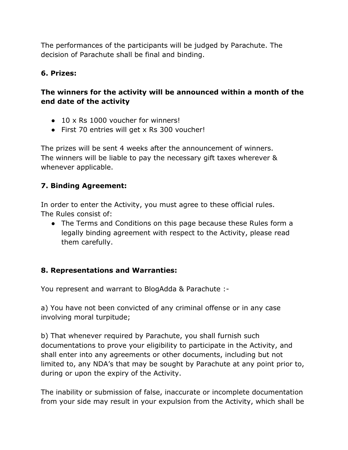The performances of the participants will be judged by Parachute. The decision of Parachute shall be final and binding.

#### **6. Prizes:**

#### **The winners for the activity will be announced within a month of the end date of the activity**

- $\bullet$  10 x Rs 1000 voucher for winners!
- First 70 entries will get x Rs 300 voucher!

The prizes will be sent 4 weeks after the announcement of winners. The winners will be liable to pay the necessary gift taxes wherever & whenever applicable.

# **7. Binding Agreement:**

In order to enter the Activity, you must agree to these official rules. The Rules consist of:

• The Terms and Conditions on this page because these Rules form a legally binding agreement with respect to the Activity, please read them carefully.

# **8. Representations and Warranties:**

You represent and warrant to BlogAdda & Parachute :

a) You have not been convicted of any criminal offense or in any case involving moral turpitude;

b) That whenever required by Parachute, you shall furnish such documentations to prove your eligibility to participate in the Activity, and shall enter into any agreements or other documents, including but not limited to, any NDA's that may be sought by Parachute at any point prior to, during or upon the expiry of the Activity.

The inability or submission of false, inaccurate or incomplete documentation from your side may result in your expulsion from the Activity, which shall be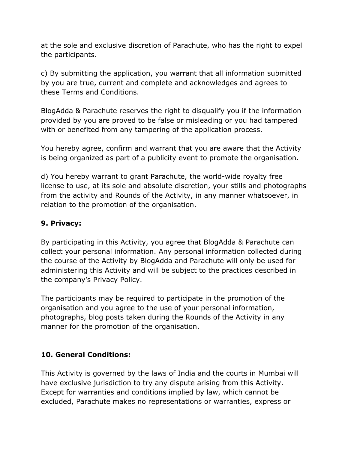at the sole and exclusive discretion of Parachute, who has the right to expel the participants.

c) By submitting the application, you warrant that all information submitted by you are true, current and complete and acknowledges and agrees to these Terms and Conditions.

BlogAdda & Parachute reserves the right to disqualify you if the information provided by you are proved to be false or misleading or you had tampered with or benefited from any tampering of the application process.

You hereby agree, confirm and warrant that you are aware that the Activity is being organized as part of a publicity event to promote the organisation.

d) You hereby warrant to grant Parachute, the world-wide royalty free license to use, at its sole and absolute discretion, your stills and photographs from the activity and Rounds of the Activity, in any manner whatsoever, in relation to the promotion of the organisation.

#### **9. Privacy:**

By participating in this Activity, you agree that BlogAdda & Parachute can collect your personal information. Any personal information collected during the course of the Activity by BlogAdda and Parachute will only be used for administering this Activity and will be subject to the practices described in the company's Privacy Policy.

The participants may be required to participate in the promotion of the organisation and you agree to the use of your personal information, photographs, blog posts taken during the Rounds of the Activity in any manner for the promotion of the organisation.

#### **10. General Conditions:**

This Activity is governed by the laws of India and the courts in Mumbai will have exclusive jurisdiction to try any dispute arising from this Activity. Except for warranties and conditions implied by law, which cannot be excluded, Parachute makes no representations or warranties, express or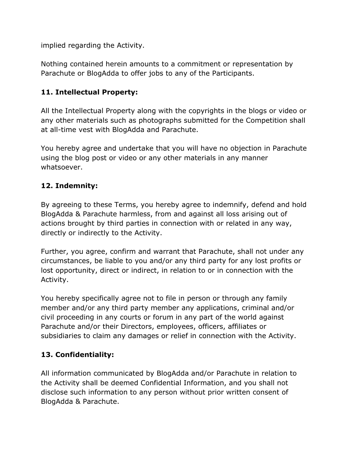implied regarding the Activity.

Nothing contained herein amounts to a commitment or representation by Parachute or BlogAdda to offer jobs to any of the Participants.

# **11. Intellectual Property:**

All the Intellectual Property along with the copyrights in the blogs or video or any other materials such as photographs submitted for the Competition shall at all-time vest with BlogAdda and Parachute.

You hereby agree and undertake that you will have no objection in Parachute using the blog post or video or any other materials in any manner whatsoever.

#### **12. Indemnity:**

By agreeing to these Terms, you hereby agree to indemnify, defend and hold BlogAdda & Parachute harmless, from and against all loss arising out of actions brought by third parties in connection with or related in any way, directly or indirectly to the Activity.

Further, you agree, confirm and warrant that Parachute, shall not under any circumstances, be liable to you and/or any third party for any lost profits or lost opportunity, direct or indirect, in relation to or in connection with the Activity.

You hereby specifically agree not to file in person or through any family member and/or any third party member any applications, criminal and/or civil proceeding in any courts or forum in any part of the world against Parachute and/or their Directors, employees, officers, affiliates or subsidiaries to claim any damages or relief in connection with the Activity.

# **13. Confidentiality:**

All information communicated by BlogAdda and/or Parachute in relation to the Activity shall be deemed Confidential Information, and you shall not disclose such information to any person without prior written consent of BlogAdda & Parachute.